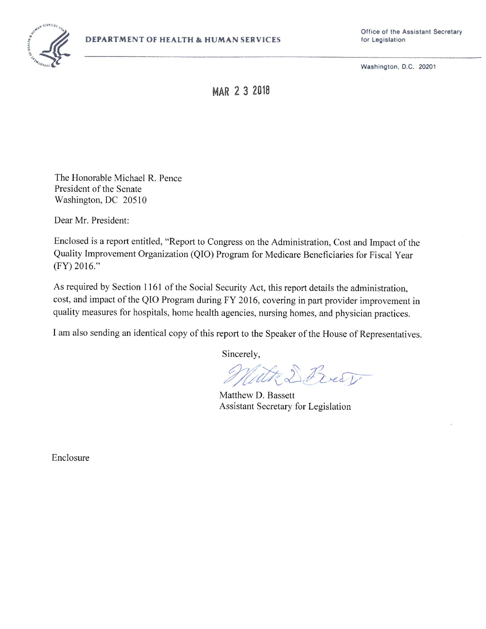

**Office of the Assistant Secretary** 

**MAR 2 3 2018** 

The Honorable Michael R. Pence President of the Senate Washington, DC 20510

Dear Mr. President:

Enclosed is a report entitled, "Report to Congress on the Administration, Cost and Impact of the Quality Improvement Organization (QIO) Program for Medicare Beneficiaries for Fiscal Year (FY) 2016."

As required by Section 1161 of the Social Security Act, this report details the administration, cost, and impact of the QIO Program during FY 2016, covering in part provider improvement in quality measures for hospitals, home health agencies, nursing homes, and physician practices.

I am also sending an identical copy of this report to the Speaker of the House of Representatives.

Sincerely,

With D Prest

Matthew D. Bassett Assistant Secretary for Legislation

Enclosure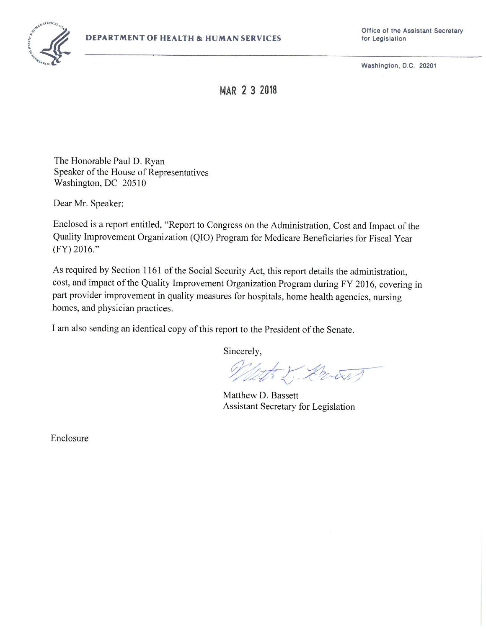

**Office of the Assistant Secretary** 

**Washington, D.C. 20201** 

**MAR 2 3 2018** 

The Honorable Paul D. Ryan Speaker of the House of Representatives Washington, DC 20510

Dear Mr. Speaker:

Enclosed is a report entitled, "Report to Congress on the Administration, Cost and Impact of the Quality Improvement Organization (QIO) Program for Medicare Beneficiaries for Fiscal Year (FY) 2016."

As required by Section 1161 of the Social Security Act, this report details the administration, cost, and impact of the Quality Improvement Organization Program during FY 2016, covering in part provider improvement in quality measures for hospitals, home health agencies, nursing homes, and physician practices.

I am also sending an identical copy of this report to the President of the Senate.

Sincerely,

What I Down

Matthew D. Bassett Assistant Secretary for Legislation

Enclosure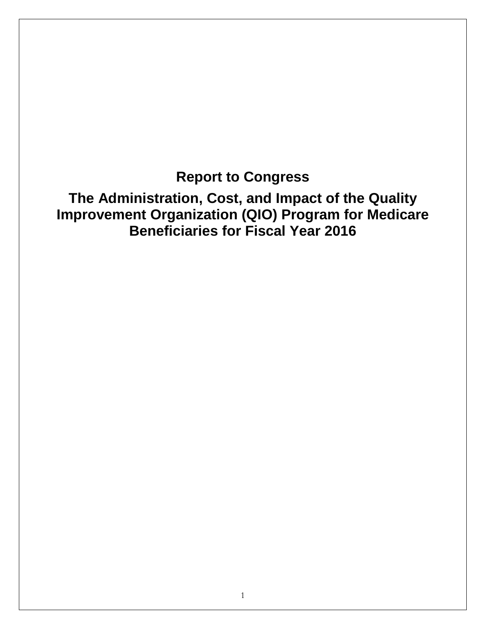**Report to Congress**

**The Administration, Cost, and Impact of the Quality Improvement Organization (QIO) Program for Medicare Beneficiaries for Fiscal Year 2016**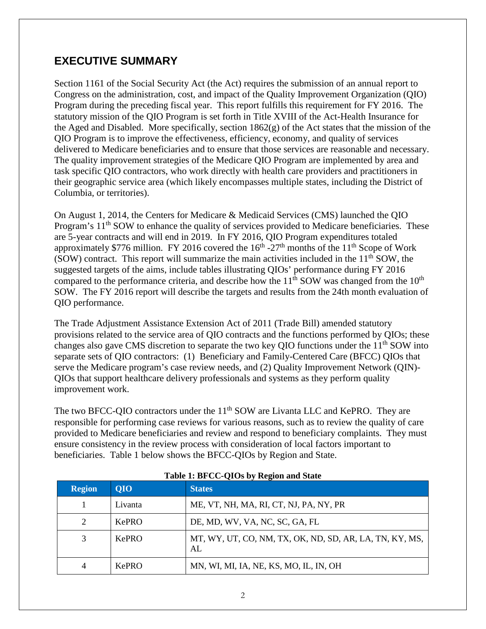# **EXECUTIVE SUMMARY**

Section 1161 of the Social Security Act (the Act) requires the submission of an annual report to Congress on the administration, cost, and impact of the Quality Improvement Organization (QIO) Program during the preceding fiscal year. This report fulfills this requirement for FY 2016. The statutory mission of the QIO Program is set forth in Title XVIII of the Act-Health Insurance for the Aged and Disabled. More specifically, section 1862(g) of the Act states that the mission of the QIO Program is to improve the effectiveness, efficiency, economy, and quality of services delivered to Medicare beneficiaries and to ensure that those services are reasonable and necessary. The quality improvement strategies of the Medicare QIO Program are implemented by area and task specific QIO contractors, who work directly with health care providers and practitioners in their geographic service area (which likely encompasses multiple states, including the District of Columbia, or territories).

On August 1, 2014, the Centers for Medicare & Medicaid Services (CMS) launched the QIO Program's 11<sup>th</sup> SOW to enhance the quality of services provided to Medicare beneficiaries. These are 5-year contracts and will end in 2019. In FY 2016, QIO Program expenditures totaled approximately \$776 million. FY 2016 covered the  $16<sup>th</sup> - 27<sup>th</sup>$  months of the  $11<sup>th</sup>$  Scope of Work (SOW) contract. This report will summarize the main activities included in the  $11<sup>th</sup>$  SOW, the suggested targets of the aims, include tables illustrating QIOs' performance during FY 2016 compared to the performance criteria, and describe how the  $11<sup>th</sup>$  SOW was changed from the  $10<sup>th</sup>$ SOW. The FY 2016 report will describe the targets and results from the 24th month evaluation of QIO performance.

The Trade Adjustment Assistance Extension Act of 2011 (Trade Bill) amended statutory provisions related to the service area of QIO contracts and the functions performed by QIOs; these changes also gave CMS discretion to separate the two key QIO functions under the  $11<sup>th</sup>$  SOW into separate sets of QIO contractors: (1) Beneficiary and Family-Centered Care (BFCC) QIOs that serve the Medicare program's case review needs, and (2) Quality Improvement Network (QIN)- QIOs that support healthcare delivery professionals and systems as they perform quality improvement work.

The two BFCC-QIO contractors under the 11<sup>th</sup> SOW are Livanta LLC and KePRO. They are responsible for performing case reviews for various reasons, such as to review the quality of care provided to Medicare beneficiaries and review and respond to beneficiary complaints. They must ensure consistency in the review process with consideration of local factors important to beneficiaries. Table 1 below shows the BFCC-QIOs by Region and State.

| <b>Region</b>               | <b>OIO</b> | <b>States</b>                                                 |
|-----------------------------|------------|---------------------------------------------------------------|
|                             | Livanta    | ME, VT, NH, MA, RI, CT, NJ, PA, NY, PR                        |
| $\mathcal{D}_{\mathcal{L}}$ | KePRO      | DE, MD, WV, VA, NC, SC, GA, FL                                |
|                             | KePRO      | MT, WY, UT, CO, NM, TX, OK, ND, SD, AR, LA, TN, KY, MS,<br>AL |
| 4                           | KePRO      | MN, WI, MI, IA, NE, KS, MO, IL, IN, OH                        |

### **Table 1: BFCC-QIOs by Region and State**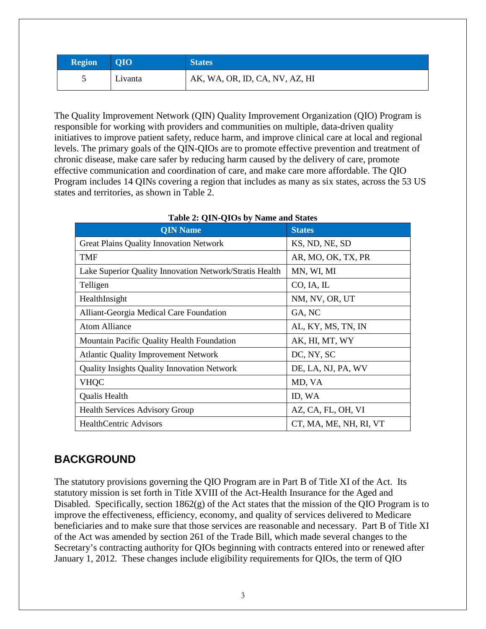| <b>Region</b> | <b>QIO</b> | <b>States</b>                  |
|---------------|------------|--------------------------------|
|               | Livanta    | AK, WA, OR, ID, CA, NV, AZ, HI |

The Quality Improvement Network (QIN) Quality Improvement Organization (QIO) Program is responsible for working with providers and communities on multiple, data-driven quality initiatives to improve patient safety, reduce harm, and improve clinical care at local and regional levels. The primary goals of the QIN-QIOs are to promote effective prevention and treatment of chronic disease, make care safer by reducing harm caused by the delivery of care, promote effective communication and coordination of care, and make care more affordable. The QIO Program includes 14 QINs covering a region that includes as many as six states, across the 53 US states and territories, as shown in [Table 2.](#page-4-0)

<span id="page-4-0"></span>

| <b>QIN Name</b>                                         | <b>States</b>          |
|---------------------------------------------------------|------------------------|
| <b>Great Plains Quality Innovation Network</b>          | KS, ND, NE, SD         |
| <b>TMF</b>                                              | AR, MO, OK, TX, PR     |
| Lake Superior Quality Innovation Network/Stratis Health | MN, WI, MI             |
| Telligen                                                | CO, IA, IL             |
| HealthInsight                                           | NM, NV, OR, UT         |
| Alliant-Georgia Medical Care Foundation                 | GA, NC                 |
| <b>Atom Alliance</b>                                    | AL, KY, MS, TN, IN     |
| Mountain Pacific Quality Health Foundation              | AK, HI, MT, WY         |
| <b>Atlantic Quality Improvement Network</b>             | DC, NY, SC             |
| <b>Quality Insights Quality Innovation Network</b>      | DE, LA, NJ, PA, WV     |
| <b>VHQC</b>                                             | MD, VA                 |
| Qualis Health                                           | ID, WA                 |
| <b>Health Services Advisory Group</b>                   | AZ, CA, FL, OH, VI     |
| <b>HealthCentric Advisors</b>                           | CT, MA, ME, NH, RI, VT |

#### **Table 2: QIN-QIOs by Name and States**

## **BACKGROUND**

The statutory provisions governing the QIO Program are in Part B of Title XI of the Act. Its statutory mission is set forth in Title XVIII of the Act-Health Insurance for the Aged and Disabled. Specifically, section 1862(g) of the Act states that the mission of the QIO Program is to improve the effectiveness, efficiency, economy, and quality of services delivered to Medicare beneficiaries and to make sure that those services are reasonable and necessary. Part B of Title XI of the Act was amended by section 261 of the Trade Bill, which made several changes to the Secretary's contracting authority for QIOs beginning with contracts entered into or renewed after January 1, 2012. These changes include eligibility requirements for QIOs, the term of QIO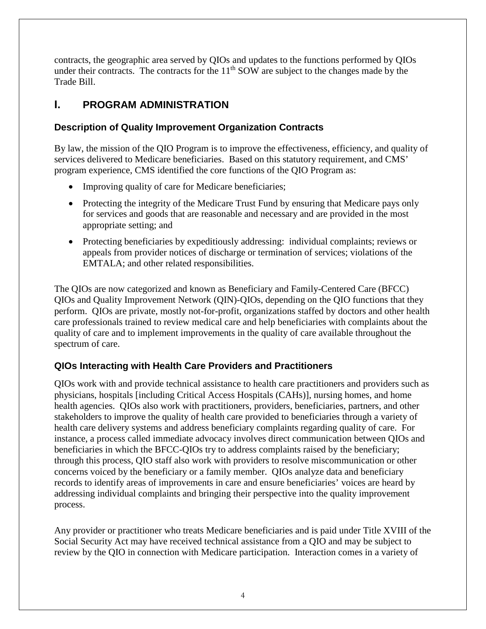contracts, the geographic area served by QIOs and updates to the functions performed by QIOs under their contracts. The contracts for the  $11<sup>th</sup>$  SOW are subject to the changes made by the Trade Bill.

# **I. PROGRAM ADMINISTRATION**

## **Description of Quality Improvement Organization Contracts**

By law, the mission of the QIO Program is to improve the effectiveness, efficiency, and quality of services delivered to Medicare beneficiaries. Based on this statutory requirement, and CMS' program experience, CMS identified the core functions of the QIO Program as:

- Improving quality of care for Medicare beneficiaries;
- Protecting the integrity of the Medicare Trust Fund by ensuring that Medicare pays only for services and goods that are reasonable and necessary and are provided in the most appropriate setting; and
- Protecting beneficiaries by expeditiously addressing: individual complaints; reviews or appeals from provider notices of discharge or termination of services; violations of the EMTALA; and other related responsibilities.

The QIOs are now categorized and known as Beneficiary and Family-Centered Care (BFCC) QIOs and Quality Improvement Network (QIN)-QIOs, depending on the QIO functions that they perform. QIOs are private, mostly not-for-profit, organizations staffed by doctors and other health care professionals trained to review medical care and help beneficiaries with complaints about the quality of care and to implement improvements in the quality of care available throughout the spectrum of care.

## **QIOs Interacting with Health Care Providers and Practitioners**

QIOs work with and provide technical assistance to health care practitioners and providers such as physicians, hospitals [including Critical Access Hospitals (CAHs)], nursing homes, and home health agencies. QIOs also work with practitioners, providers, beneficiaries, partners, and other stakeholders to improve the quality of health care provided to beneficiaries through a variety of health care delivery systems and address beneficiary complaints regarding quality of care. For instance, a process called immediate advocacy involves direct communication between QIOs and beneficiaries in which the BFCC-QIOs try to address complaints raised by the beneficiary; through this process, QIO staff also work with providers to resolve miscommunication or other concerns voiced by the beneficiary or a family member. QIOs analyze data and beneficiary records to identify areas of improvements in care and ensure beneficiaries' voices are heard by addressing individual complaints and bringing their perspective into the quality improvement process.

Any provider or practitioner who treats Medicare beneficiaries and is paid under Title XVIII of the Social Security Act may have received technical assistance from a QIO and may be subject to review by the QIO in connection with Medicare participation. Interaction comes in a variety of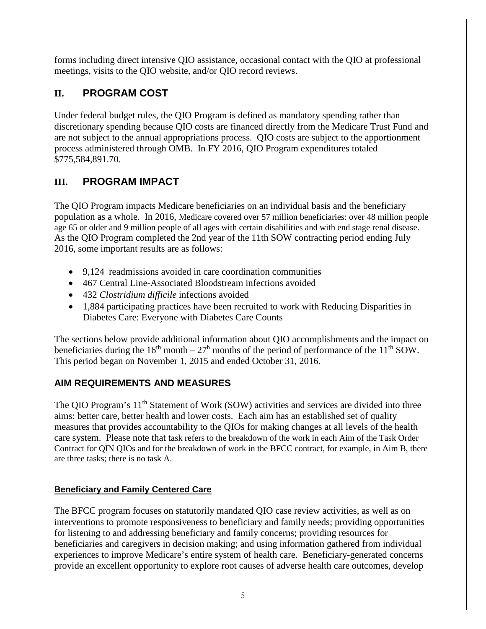forms including direct intensive QIO assistance, occasional contact with the QIO at professional meetings, visits to the QIO website, and/or QIO record reviews.

# **II. PROGRAM COST**

Under federal budget rules, the QIO Program is defined as mandatory spending rather than discretionary spending because QIO costs are financed directly from the Medicare Trust Fund and are not subject to the annual appropriations process. QIO costs are subject to the apportionment process administered through OMB. In FY 2016, QIO Program expenditures totaled \$775,584,891.70.

# **III. PROGRAM IMPACT**

The QIO Program impacts Medicare beneficiaries on an individual basis and the beneficiary population as a whole. In 2016, Medicare covered over 57 million beneficiaries: over 48 million people age 65 or older and 9 million people of all ages with certain disabilities and with end stage renal disease. As the QIO Program completed the 2nd year of the 11th SOW contracting period ending July 2016, some important results are as follows:

- 9,124 readmissions avoided in care coordination communities
- 467 Central Line-Associated Bloodstream infections avoided
- 432 *Clostridium difficile* infections avoided
- 1,884 participating practices have been recruited to work with Reducing Disparities in Diabetes Care: Everyone with Diabetes Care Counts

The sections below provide additional information about QIO accomplishments and the impact on beneficiaries during the  $16<sup>th</sup>$  month –  $27<sup>h</sup>$  months of the period of performance of the  $11<sup>th</sup>$  SOW. This period began on November 1, 2015 and ended October 31, 2016.

# **AIM REQUIREMENTS AND MEASURES**

The QIO Program's 11<sup>th</sup> Statement of Work (SOW) activities and services are divided into three aims: better care, better health and lower costs. Each aim has an established set of quality measures that provides accountability to the QIOs for making changes at all levels of the health care system. Please note that task refers to the breakdown of the work in each Aim of the Task Order Contract for QIN QIOs and for the breakdown of work in the BFCC contract, for example, in Aim B, there are three tasks; there is no task A.

## **Beneficiary and Family Centered Care**

The BFCC program focuses on statutorily mandated QIO case review activities, as well as on interventions to promote responsiveness to beneficiary and family needs; providing opportunities for listening to and addressing beneficiary and family concerns; providing resources for beneficiaries and caregivers in decision making; and using information gathered from individual experiences to improve Medicare's entire system of health care. Beneficiary-generated concerns provide an excellent opportunity to explore root causes of adverse health care outcomes, develop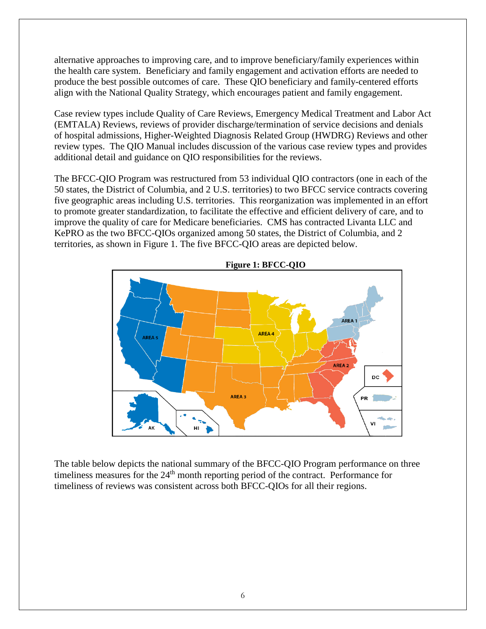alternative approaches to improving care, and to improve beneficiary/family experiences within the health care system. Beneficiary and family engagement and activation efforts are needed to produce the best possible outcomes of care. These QIO beneficiary and family-centered efforts align with the National Quality Strategy, which encourages patient and family engagement.

Case review types include Quality of Care Reviews, Emergency Medical Treatment and Labor Act (EMTALA) Reviews, reviews of provider discharge/termination of service decisions and denials of hospital admissions, Higher-Weighted Diagnosis Related Group (HWDRG) Reviews and other review types. The QIO Manual includes discussion of the various case review types and provides additional detail and guidance on QIO responsibilities for the reviews.

The BFCC-QIO Program was restructured from 53 individual QIO contractors (one in each of the 50 states, the District of Columbia, and 2 U.S. territories) to two BFCC service contracts covering five geographic areas including U.S. territories. This reorganization was implemented in an effort to promote greater standardization, to facilitate the effective and efficient delivery of care, and to improve the quality of care for Medicare beneficiaries. CMS has contracted Livanta LLC and KePRO as the two BFCC-QIOs organized among 50 states, the District of Columbia, and 2 territories, as shown in Figure 1. The five BFCC-QIO areas are depicted below.



The table below depicts the national summary of the BFCC-QIO Program performance on three timeliness measures for the  $24<sup>th</sup>$  month reporting period of the contract. Performance for timeliness of reviews was consistent across both BFCC-QIOs for all their regions.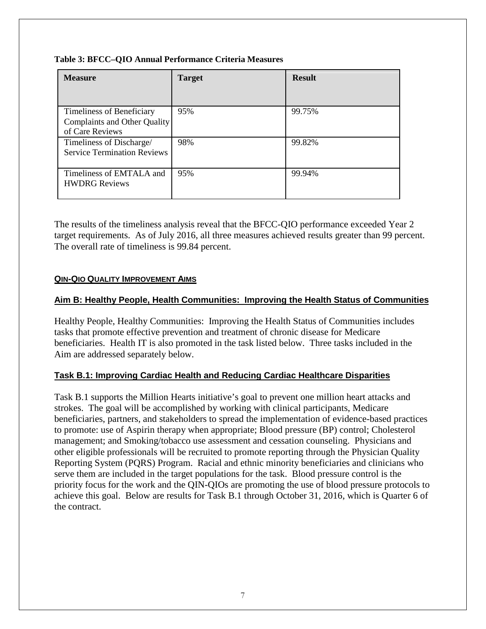#### **Table 3: BFCC–QIO Annual Performance Criteria Measures**

| <b>Measure</b>                                                               | <b>Target</b> | <b>Result</b> |
|------------------------------------------------------------------------------|---------------|---------------|
| Timeliness of Beneficiary<br>Complaints and Other Quality<br>of Care Reviews | 95%           | 99.75%        |
| Timeliness of Discharge/<br><b>Service Termination Reviews</b>               | 98%           | 99.82%        |
| Timeliness of EMTALA and<br><b>HWDRG Reviews</b>                             | 95%           | 99.94%        |

The results of the timeliness analysis reveal that the BFCC-QIO performance exceeded Year 2 target requirements. As of July 2016, all three measures achieved results greater than 99 percent. The overall rate of timeliness is 99.84 percent.

#### **QIN-QIO [QUALITY IMPROVEMENT AIMS](https://share.cms.gov/center/CCSQ/QIG/DPMCE/Reports%20to%20Congress/QIO-QIN%20Quality%20Improvement%20Aims)**

#### **Aim B: Healthy People, Health Communities: Improving the Health Status of Communities**

Healthy People, Healthy Communities: Improving the Health Status of Communities includes tasks that promote effective prevention and treatment of chronic disease for Medicare beneficiaries. Health IT is also promoted in the task listed below. Three tasks included in the Aim are addressed separately below.

### **Task B.1: Improving Cardiac Health and Reducing Cardiac Healthcare Disparities**

Task B.1 supports the Million Hearts initiative's goal to prevent one million heart attacks and strokes. The goal will be accomplished by working with clinical participants, Medicare beneficiaries, partners, and stakeholders to spread the implementation of evidence-based practices to promote: use of Aspirin therapy when appropriate; Blood pressure (BP) control; Cholesterol management; and Smoking/tobacco use assessment and cessation counseling. Physicians and other eligible professionals will be recruited to promote reporting through the Physician Quality Reporting System (PQRS) Program. Racial and ethnic minority beneficiaries and clinicians who serve them are included in the target populations for the task. Blood pressure control is the priority focus for the work and the QIN-QIOs are promoting the use of blood pressure protocols to achieve this goal. Below are results for Task B.1 through October 31, 2016, which is Quarter 6 of the contract.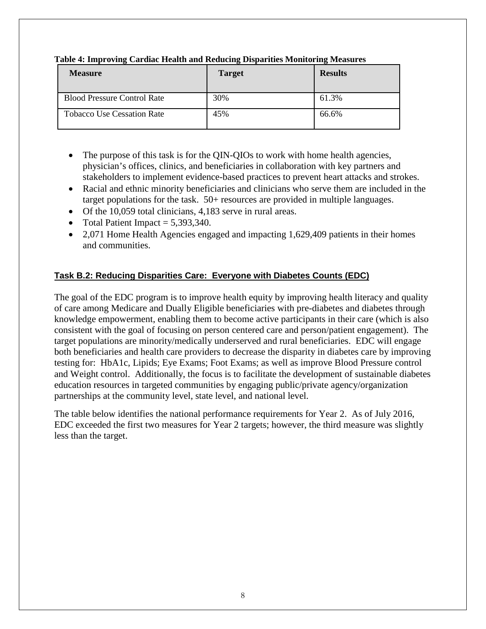| <b>Measure</b>                     | <b>Target</b> | ۰.<br><b>Results</b> |
|------------------------------------|---------------|----------------------|
| <b>Blood Pressure Control Rate</b> | 30%           | 61.3%                |
| <b>Tobacco Use Cessation Rate</b>  | 45%           | 66.6%                |

#### **Table 4: Improving Cardiac Health and Reducing Disparities Monitoring Measures**

- The purpose of this task is for the QIN-QIOs to work with home health agencies, physician's offices, clinics, and beneficiaries in collaboration with key partners and stakeholders to implement evidence-based practices to prevent heart attacks and strokes.
- Racial and ethnic minority beneficiaries and clinicians who serve them are included in the target populations for the task. 50+ resources are provided in multiple languages.
- Of the 10,059 total clinicians, 4,183 serve in rural areas.
- Total Patient Impact  $= 5,393,340$ .
- 2,071 Home Health Agencies engaged and impacting 1,629,409 patients in their homes and communities.

## **Task B.2: Reducing Disparities Care: Everyone with Diabetes Counts (EDC)**

The goal of the EDC program is to improve health equity by improving health literacy and quality of care among Medicare and Dually Eligible beneficiaries with pre-diabetes and diabetes through knowledge empowerment, enabling them to become active participants in their care (which is also consistent with the goal of focusing on person centered care and person/patient engagement). The target populations are minority/medically underserved and rural beneficiaries. EDC will engage both beneficiaries and health care providers to decrease the disparity in diabetes care by improving testing for: HbA1c, Lipids; Eye Exams; Foot Exams; as well as improve Blood Pressure control and Weight control. Additionally, the focus is to facilitate the development of sustainable diabetes education resources in targeted communities by engaging public/private agency/organization partnerships at the community level, state level, and national level.

The table below identifies the national performance requirements for Year 2. As of July 2016, EDC exceeded the first two measures for Year 2 targets; however, the third measure was slightly less than the target.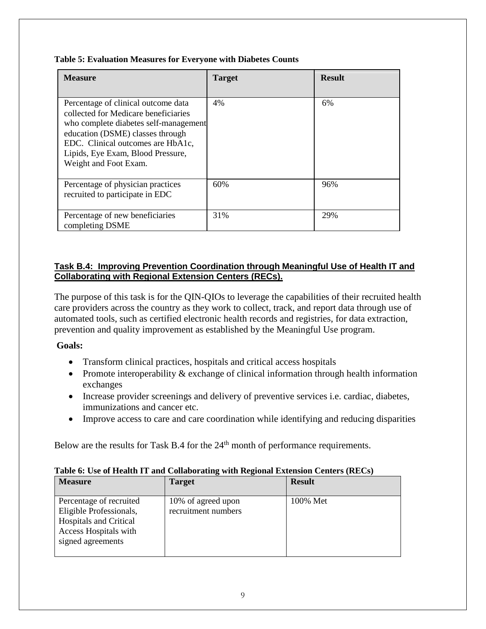| <b>Measure</b>                                                                                                                                                                                                                                              | <b>Target</b> | <b>Result</b> |
|-------------------------------------------------------------------------------------------------------------------------------------------------------------------------------------------------------------------------------------------------------------|---------------|---------------|
| Percentage of clinical outcome data<br>collected for Medicare beneficiaries<br>who complete diabetes self-management<br>education (DSME) classes through<br>EDC. Clinical outcomes are HbA1c,<br>Lipids, Eye Exam, Blood Pressure,<br>Weight and Foot Exam. | 4%            | 6%            |
| Percentage of physician practices<br>recruited to participate in EDC                                                                                                                                                                                        | 60%           | 96%           |
| Percentage of new beneficiaries<br>completing DSME                                                                                                                                                                                                          | 31%           | 29%           |

#### **Task B.4: Improving Prevention Coordination through Meaningful Use of Health IT and Collaborating with Regional Extension Centers (RECs).**

The purpose of this task is for the QIN-QIOs to leverage the capabilities of their recruited health care providers across the country as they work to collect, track, and report data through use of automated tools, such as certified electronic health records and registries, for data extraction, prevention and quality improvement as established by the Meaningful Use program.

### **Goals:**

- Transform clinical practices, hospitals and critical access hospitals
- Promote interoperability & exchange of clinical information through health information exchanges
- Increase provider screenings and delivery of preventive services i.e. cardiac, diabetes, immunizations and cancer etc.
- Improve access to care and care coordination while identifying and reducing disparities

Below are the results for Task B.4 for the 24<sup>th</sup> month of performance requirements.

| <b>Measure</b>                                                                                                                    | <b>Target</b>                             | <b>Result</b> |
|-----------------------------------------------------------------------------------------------------------------------------------|-------------------------------------------|---------------|
| Percentage of recruited<br>Eligible Professionals,<br><b>Hospitals and Critical</b><br>Access Hospitals with<br>signed agreements | 10% of agreed upon<br>recruitment numbers | 100% Met      |

#### **Table 6: Use of Health IT and Collaborating with Regional Extension Centers (RECs)**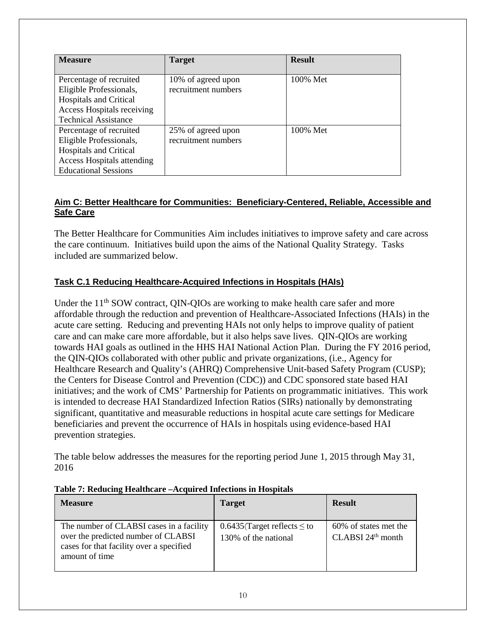| <b>Measure</b>                                                                                                                                          | <b>Target</b>                             | <b>Result</b> |
|---------------------------------------------------------------------------------------------------------------------------------------------------------|-------------------------------------------|---------------|
| Percentage of recruited<br>Eligible Professionals,<br><b>Hospitals and Critical</b><br>Access Hospitals receiving<br><b>Technical Assistance</b>        | 10% of agreed upon<br>recruitment numbers | 100% Met      |
| Percentage of recruited<br>Eligible Professionals,<br><b>Hospitals and Critical</b><br><b>Access Hospitals attending</b><br><b>Educational Sessions</b> | 25% of agreed upon<br>recruitment numbers | 100% Met      |

### **Aim C: Better Healthcare for Communities: Beneficiary-Centered, Reliable, Accessible and Safe Care**

The Better Healthcare for Communities Aim includes initiatives to improve safety and care across the care continuum. Initiatives build upon the aims of the National Quality Strategy. Tasks included are summarized below.

## **Task C.1 Reducing Healthcare-Acquired Infections in Hospitals (HAIs)**

Under the  $11<sup>th</sup>$  SOW contract, OIN-OIOs are working to make health care safer and more affordable through the reduction and prevention of Healthcare-Associated Infections (HAIs) in the acute care setting. Reducing and preventing HAIs not only helps to improve quality of patient care and can make care more affordable, but it also helps save lives. QIN-QIOs are working towards HAI goals as outlined in the HHS HAI National Action Plan. During the FY 2016 period, the QIN-QIOs collaborated with other public and private organizations, (i.e., Agency for Healthcare Research and Quality's (AHRQ) Comprehensive Unit-based Safety Program (CUSP); the Centers for Disease Control and Prevention (CDC)) and CDC sponsored state based HAI initiatives; and the work of CMS' Partnership for Patients on programmatic initiatives. This work is intended to decrease HAI Standardized Infection Ratios (SIRs) nationally by demonstrating significant, quantitative and measurable reductions in hospital acute care settings for Medicare beneficiaries and prevent the occurrence of HAIs in hospitals using evidence-based HAI prevention strategies.

The table below addresses the measures for the reporting period June 1, 2015 through May 31, 2016

| <b>Measure</b>                                                                                                                                | <b>Target</b>                                               | <b>Result</b>                                          |
|-----------------------------------------------------------------------------------------------------------------------------------------------|-------------------------------------------------------------|--------------------------------------------------------|
| The number of CLABSI cases in a facility<br>over the predicted number of CLABSI<br>cases for that facility over a specified<br>amount of time | $0.6435$ (Target reflects $\leq$ to<br>130% of the national | 60% of states met the<br>CLABSI 24 <sup>th</sup> month |

#### **Table 7: Reducing Healthcare –Acquired Infections in Hospitals**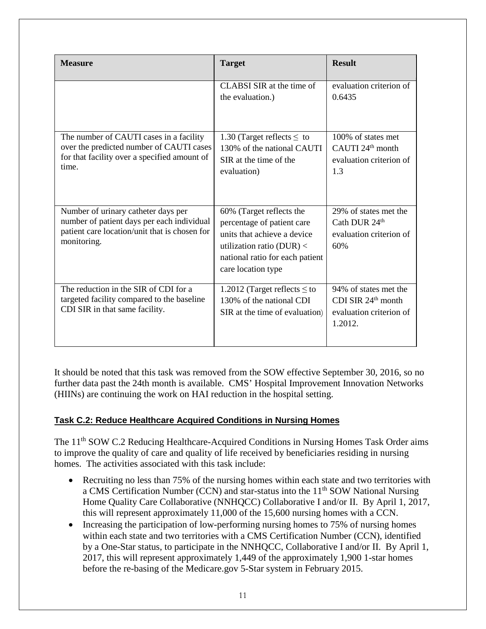| <b>Measure</b>                                                                                                                                    | <b>Target</b>                                                                                                                                                                   | <b>Result</b>                                                                        |
|---------------------------------------------------------------------------------------------------------------------------------------------------|---------------------------------------------------------------------------------------------------------------------------------------------------------------------------------|--------------------------------------------------------------------------------------|
|                                                                                                                                                   | CLABSI SIR at the time of<br>the evaluation.)                                                                                                                                   | evaluation criterion of<br>0.6435                                                    |
| The number of CAUTI cases in a facility<br>over the predicted number of CAUTI cases<br>for that facility over a specified amount of<br>time.      | 1.30 (Target reflects $\leq$ to<br>130% of the national CAUTI<br>SIR at the time of the<br>evaluation)                                                                          | 100% of states met<br>CAUTI 24 <sup>th</sup> month<br>evaluation criterion of<br>1.3 |
| Number of urinary catheter days per<br>number of patient days per each individual<br>patient care location/unit that is chosen for<br>monitoring. | 60% (Target reflects the<br>percentage of patient care<br>units that achieve a device<br>utilization ratio ( $DUR$ ) <<br>national ratio for each patient<br>care location type | 29% of states met the<br>Cath DUR 24 <sup>th</sup><br>evaluation criterion of<br>60% |
| The reduction in the SIR of CDI for a<br>targeted facility compared to the baseline<br>CDI SIR in that same facility.                             | 1.2012 (Target reflects $\leq$ to<br>130% of the national CDI<br>SIR at the time of evaluation)                                                                                 | 94% of states met the<br>CDI SIR $24th$ month<br>evaluation criterion of<br>1.2012.  |

It should be noted that this task was removed from the SOW effective September 30, 2016, so no further data past the 24th month is available. CMS' Hospital Improvement Innovation Networks (HIINs) are continuing the work on HAI reduction in the hospital setting.

### **Task C.2: Reduce Healthcare Acquired Conditions in Nursing Homes**

The 11<sup>th</sup> SOW C.2 Reducing Healthcare-Acquired Conditions in Nursing Homes Task Order aims to improve the quality of care and quality of life received by beneficiaries residing in nursing homes. The activities associated with this task include:

- Recruiting no less than 75% of the nursing homes within each state and two territories with a CMS Certification Number (CCN) and star-status into the 11<sup>th</sup> SOW National Nursing Home Quality Care Collaborative (NNHQCC) Collaborative I and/or II. By April 1, 2017, this will represent approximately 11,000 of the 15,600 nursing homes with a CCN.
- Increasing the participation of low-performing nursing homes to 75% of nursing homes within each state and two territories with a CMS Certification Number (CCN), identified by a One-Star status, to participate in the NNHQCC, Collaborative I and/or II. By April 1, 2017, this will represent approximately 1,449 of the approximately 1,900 1-star homes before the re-basing of the Medicare.gov 5-Star system in February 2015.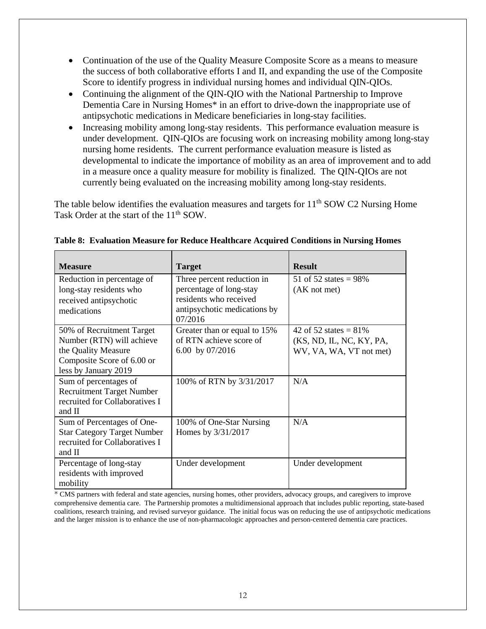- Continuation of the use of the Quality Measure Composite Score as a means to measure the success of both collaborative efforts I and II, and expanding the use of the Composite Score to identify progress in individual nursing homes and individual QIN-QIOs.
- Continuing the alignment of the QIN-QIO with the National Partnership to Improve Dementia Care in Nursing Homes\* in an effort to drive-down the inappropriate use of antipsychotic medications in Medicare beneficiaries in long-stay facilities.
- Increasing mobility among long-stay residents. This performance evaluation measure is under development. QIN-QIOs are focusing work on increasing mobility among long-stay nursing home residents. The current performance evaluation measure is listed as developmental to indicate the importance of mobility as an area of improvement and to add in a measure once a quality measure for mobility is finalized. The QIN-QIOs are not currently being evaluated on the increasing mobility among long-stay residents.

The table below identifies the evaluation measures and targets for  $11<sup>th</sup>$  SOW C2 Nursing Home Task Order at the start of the 11<sup>th</sup> SOW.

| <b>Measure</b>                                                                                                                                               | <b>Target</b>                                                                                                              | <b>Result</b>                                                                          |
|--------------------------------------------------------------------------------------------------------------------------------------------------------------|----------------------------------------------------------------------------------------------------------------------------|----------------------------------------------------------------------------------------|
| Reduction in percentage of<br>long-stay residents who<br>received antipsychotic<br>medications                                                               | Three percent reduction in<br>percentage of long-stay<br>residents who received<br>antipsychotic medications by<br>07/2016 | 51 of 52 states = $98\%$<br>(AK not met)                                               |
| 50% of Recruitment Target<br>Number (RTN) will achieve<br>the Quality Measure<br>Composite Score of 6.00 or<br>less by January 2019<br>Sum of percentages of | Greater than or equal to 15%<br>of RTN achieve score of<br>6.00 by $07/2016$<br>100% of RTN by 3/31/2017                   | 42 of 52 states = $81\%$<br>(KS, ND, IL, NC, KY, PA,<br>WV, VA, WA, VT not met)<br>N/A |
| <b>Recruitment Target Number</b><br>recruited for Collaboratives I<br>and II                                                                                 |                                                                                                                            |                                                                                        |
| Sum of Percentages of One-<br><b>Star Category Target Number</b><br>recruited for Collaboratives I<br>and II                                                 | 100% of One-Star Nursing<br>Homes by 3/31/2017                                                                             | N/A                                                                                    |
| Percentage of long-stay<br>residents with improved<br>mobility                                                                                               | Under development                                                                                                          | Under development                                                                      |

**Table 8: Evaluation Measure for Reduce Healthcare Acquired Conditions in Nursing Homes**

\* CMS partners with federal and state agencies, nursing homes, other providers, advocacy groups, and caregivers to improve comprehensive dementia care. The Partnership promotes a multidimensional approach that includes public reporting, state-based coalitions, research training, and revised surveyor guidance. The initial focus was on reducing the use of antipsychotic medications and the larger mission is to enhance the use of non-pharmacologic approaches and person-centered dementia care practices.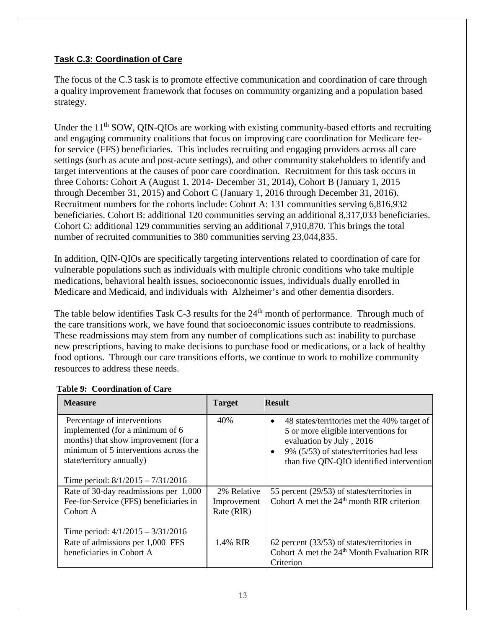#### **Task C.3: Coordination of Care**

The focus of the C.3 task is to promote effective communication and coordination of care through a quality improvement framework that focuses on community organizing and a population based strategy.

Under the 11<sup>th</sup> SOW, QIN-QIOs are working with existing community-based efforts and recruiting and engaging community coalitions that focus on improving care coordination for Medicare feefor service (FFS) beneficiaries. This includes recruiting and engaging providers across all care settings (such as acute and post-acute settings), and other community stakeholders to identify and target interventions at the causes of poor care coordination. Recruitment for this task occurs in three Cohorts: Cohort A (August 1, 2014- December 31, 2014), Cohort B (January 1, 2015 through December 31, 2015) and Cohort C (January 1, 2016 through December 31, 2016). Recruitment numbers for the cohorts include: Cohort A: 131 communities serving 6,816,932 beneficiaries. Cohort B: additional 120 communities serving an additional 8,317,033 beneficiaries. Cohort C: additional 129 communities serving an additional 7,910,870. This brings the total number of recruited communities to 380 communities serving 23,044,835.

In addition, QIN-QIOs are specifically targeting interventions related to coordination of care for vulnerable populations such as individuals with multiple chronic conditions who take multiple medications, behavioral health issues, socioeconomic issues, individuals dually enrolled in Medicare and Medicaid, and individuals with Alzheimer's and other dementia disorders.

The table below identifies Task C-3 results for the  $24<sup>th</sup>$  month of performance. Through much of the care transitions work, we have found that socioeconomic issues contribute to readmissions. These readmissions may stem from any number of complications such as: inability to purchase new prescriptions, having to make decisions to purchase food or medications, or a lack of healthy food options. Through our care transitions efforts, we continue to work to mobilize community resources to address these needs.

| <b>Measure</b>                                                                                                                                                               | <b>Target</b>              | <b>Result</b>                                                                                                                                                                                                                      |
|------------------------------------------------------------------------------------------------------------------------------------------------------------------------------|----------------------------|------------------------------------------------------------------------------------------------------------------------------------------------------------------------------------------------------------------------------------|
| Percentage of interventions<br>implemented (for a minimum of 6<br>months) that show improvement (for a<br>minimum of 5 interventions across the<br>state/territory annually) | 40%                        | 48 states/territories met the 40% target of<br>$\bullet$<br>5 or more eligible interventions for<br>evaluation by July, 2016<br>9% (5/53) of states/territories had less<br>$\bullet$<br>than five QIN-QIO identified intervention |
| Time period: $8/1/2015 - 7/31/2016$                                                                                                                                          |                            |                                                                                                                                                                                                                                    |
| Rate of 30-day readmissions per 1,000<br>Fee-for-Service (FFS) beneficiaries in                                                                                              | 2% Relative<br>Improvement | 55 percent (29/53) of states/territories in<br>Cohort A met the $24th$ month RIR criterion                                                                                                                                         |
| Cohort A                                                                                                                                                                     | Rate (RIR)                 |                                                                                                                                                                                                                                    |
| Time period: $4/1/2015 - 3/31/2016$                                                                                                                                          |                            |                                                                                                                                                                                                                                    |
| Rate of admissions per 1,000 FFS                                                                                                                                             | 1.4% RIR                   | 62 percent (33/53) of states/territories in                                                                                                                                                                                        |
| beneficiaries in Cohort A                                                                                                                                                    |                            | Cohort A met the 24 <sup>th</sup> Month Evaluation RIR<br>Criterion                                                                                                                                                                |

### **Table 9: Coordination of Care**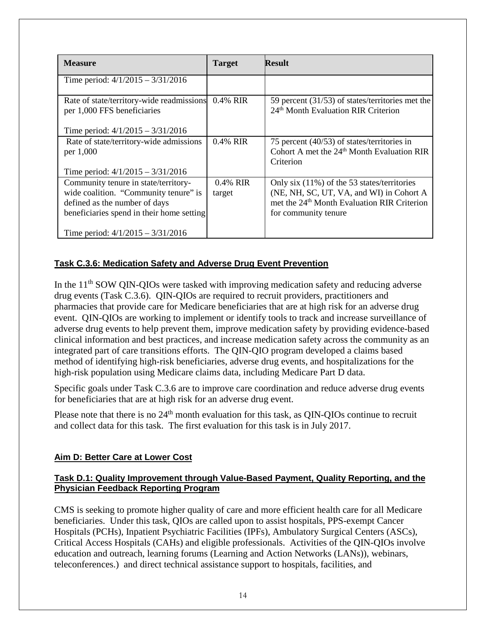| <b>Measure</b>                                                                                                                                              | <b>Target</b>      | <b>Result</b>                                                                                                                                                                 |
|-------------------------------------------------------------------------------------------------------------------------------------------------------------|--------------------|-------------------------------------------------------------------------------------------------------------------------------------------------------------------------------|
| Time period: $4/1/2015 - 3/31/2016$                                                                                                                         |                    |                                                                                                                                                                               |
| Rate of state/territory-wide readmissions<br>per 1,000 FFS beneficiaries                                                                                    | 0.4% RIR           | 59 percent (31/53) of states/territories met the<br>24 <sup>th</sup> Month Evaluation RIR Criterion                                                                           |
| Time period: $4/1/2015 - 3/31/2016$                                                                                                                         |                    |                                                                                                                                                                               |
| Rate of state/territory-wide admissions                                                                                                                     | $0.4\%$ RIR        | 75 percent (40/53) of states/territories in                                                                                                                                   |
| per 1,000                                                                                                                                                   |                    | Cohort A met the 24 <sup>th</sup> Month Evaluation RIR<br>Criterion                                                                                                           |
| Time period: $4/1/2015 - 3/31/2016$                                                                                                                         |                    |                                                                                                                                                                               |
| Community tenure in state/territory-<br>wide coalition. "Community tenure" is<br>defined as the number of days<br>beneficiaries spend in their home setting | 0.4% RIR<br>target | Only six $(11\%)$ of the 53 states/territories<br>(NE, NH, SC, UT, VA, and WI) in Cohort A<br>met the 24 <sup>th</sup> Month Evaluation RIR Criterion<br>for community tenure |
| Time period: $4/1/2015 - 3/31/2016$                                                                                                                         |                    |                                                                                                                                                                               |

### **Task C.3.6: Medication Safety and Adverse Drug Event Prevention**

In the  $11<sup>th</sup>$  SOW OIN-OIOs were tasked with improving medication safety and reducing adverse drug events (Task C.3.6). QIN-QIOs are required to recruit providers, practitioners and pharmacies that provide care for Medicare beneficiaries that are at high risk for an adverse drug event. QIN-QIOs are working to implement or identify tools to track and increase surveillance of adverse drug events to help prevent them, improve medication safety by providing evidence-based clinical information and best practices, and increase medication safety across the community as an integrated part of care transitions efforts. The QIN-QIO program developed a claims based method of identifying high-risk beneficiaries, adverse drug events, and hospitalizations for the high-risk population using Medicare claims data, including Medicare Part D data.

Specific goals under Task C.3.6 are to improve care coordination and reduce adverse drug events for beneficiaries that are at high risk for an adverse drug event.

Please note that there is no  $24<sup>th</sup>$  month evaluation for this task, as QIN-QIOs continue to recruit and collect data for this task. The first evaluation for this task is in July 2017.

### **Aim D: Better Care at Lower Cost**

#### **Task D.1: Quality Improvement through Value-Based Payment, Quality Reporting, and the Physician Feedback Reporting Program**

CMS is seeking to promote higher quality of care and more efficient health care for all Medicare beneficiaries. Under this task, QIOs are called upon to assist hospitals, PPS-exempt Cancer Hospitals (PCHs), Inpatient Psychiatric Facilities (IPFs), Ambulatory Surgical Centers (ASCs), Critical Access Hospitals (CAHs) and eligible professionals. Activities of the QIN-QIOs involve education and outreach, learning forums (Learning and Action Networks (LANs)), webinars, teleconferences.) and direct technical assistance support to hospitals, facilities, and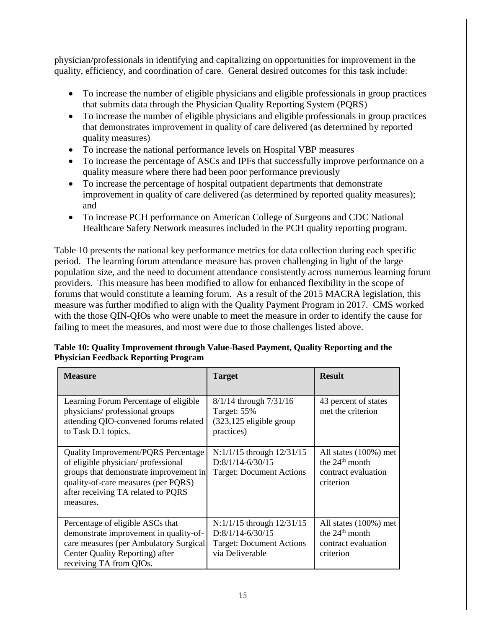physician/professionals in identifying and capitalizing on opportunities for improvement in the quality, efficiency, and coordination of care. General desired outcomes for this task include:

- To increase the number of eligible physicians and eligible professionals in group practices that submits data through the Physician Quality Reporting System (PQRS)
- To increase the number of eligible physicians and eligible professionals in group practices that demonstrates improvement in quality of care delivered (as determined by reported quality measures)
- To increase the national performance levels on Hospital VBP measures
- To increase the percentage of ASCs and IPFs that successfully improve performance on a quality measure where there had been poor performance previously
- To increase the percentage of hospital outpatient departments that demonstrate improvement in quality of care delivered (as determined by reported quality measures); and
- To increase PCH performance on American College of Surgeons and CDC National Healthcare Safety Network measures included in the PCH quality reporting program.

Table 10 presents the national key performance metrics for data collection during each specific period. The learning forum attendance measure has proven challenging in light of the large population size, and the need to document attendance consistently across numerous learning forum providers. This measure has been modified to allow for enhanced flexibility in the scope of forums that would constitute a learning forum. As a result of the 2015 MACRA legislation, this measure was further modified to align with the Quality Payment Program in 2017. CMS worked with the those QIN-QIOs who were unable to meet the measure in order to identify the cause for failing to meet the measures, and most were due to those challenges listed above.

| <b>Measure</b>                                                                                                                                                                                                       | <b>Target</b>                                                                                             | <b>Result</b>                                                                              |
|----------------------------------------------------------------------------------------------------------------------------------------------------------------------------------------------------------------------|-----------------------------------------------------------------------------------------------------------|--------------------------------------------------------------------------------------------|
| Learning Forum Percentage of eligible<br>physicians/professional groups<br>attending QIO-convened forums related<br>to Task D.1 topics.                                                                              | $8/1/14$ through $7/31/16$<br>Target: 55%<br>$(323, 125$ eligible group<br>practices)                     | 43 percent of states<br>met the criterion                                                  |
| <b>Quality Improvement/PQRS Percentage</b><br>of eligible physician/professional<br>groups that demonstrate improvement in<br>quality-of-care measures (per PQRS)<br>after receiving TA related to PQRS<br>measures. | $N:1/1/15$ through $12/31/15$<br>$D:8/1/14-6/30/15$<br><b>Target: Document Actions</b>                    | All states $(100\%)$ met<br>the $24th$ month<br>contract evaluation<br>criterion           |
| Percentage of eligible ASCs that<br>demonstrate improvement in quality-of-<br>care measures (per Ambulatory Surgical<br>Center Quality Reporting) after<br>receiving TA from QIOs.                                   | $N:1/1/15$ through $12/31/15$<br>$D:8/1/14-6/30/15$<br><b>Target: Document Actions</b><br>via Deliverable | All states $(100\%)$ met<br>the 24 <sup>th</sup> month<br>contract evaluation<br>criterion |

#### **Table 10: Quality Improvement through Value-Based Payment, Quality Reporting and the Physician Feedback Reporting Program**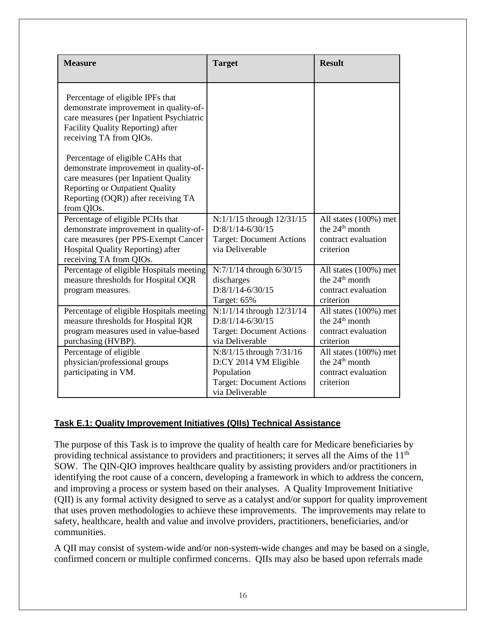| <b>Measure</b>                                                                                                                                                                                                    | <b>Target</b>                                                                                                         | <b>Result</b>                                                                           |
|-------------------------------------------------------------------------------------------------------------------------------------------------------------------------------------------------------------------|-----------------------------------------------------------------------------------------------------------------------|-----------------------------------------------------------------------------------------|
| Percentage of eligible IPFs that<br>demonstrate improvement in quality-of-<br>care measures (per Inpatient Psychiatric<br>Facility Quality Reporting) after<br>receiving TA from QIOs.                            |                                                                                                                       |                                                                                         |
| Percentage of eligible CAHs that<br>demonstrate improvement in quality-of-<br>care measures (per Inpatient Quality<br><b>Reporting or Outpatient Quality</b><br>Reporting (OQR)) after receiving TA<br>from QIOs. |                                                                                                                       |                                                                                         |
| Percentage of eligible PCHs that<br>demonstrate improvement in quality-of-<br>care measures (per PPS-Exempt Cancer<br>Hospital Quality Reporting) after<br>receiving TA from QIOs.                                | N:1/1/15 through 12/31/15<br>$D:8/1/14-6/30/15$<br><b>Target: Document Actions</b><br>via Deliverable                 | All states (100%) met<br>the $24th$ month<br>contract evaluation<br>criterion           |
| Percentage of eligible Hospitals meeting<br>measure thresholds for Hospital OQR<br>program measures.                                                                                                              | N:7/1/14 through 6/30/15<br>discharges<br>$D:8/1/14-6/30/15$<br>Target: 65%                                           | All states (100%) met<br>the 24 <sup>th</sup> month<br>contract evaluation<br>criterion |
| Percentage of eligible Hospitals meeting<br>measure thresholds for Hospital IQR<br>program measures used in value-based<br>purchasing (HVBP).                                                                     | N:1/1/14 through 12/31/14<br>$D:8/1/14-6/30/15$<br><b>Target: Document Actions</b><br>via Deliverable                 | All states (100%) met<br>the 24 <sup>th</sup> month<br>contract evaluation<br>criterion |
| Percentage of eligible<br>physician/professional groups<br>participating in VM.                                                                                                                                   | N:8/1/15 through 7/31/16<br>D:CY 2014 VM Eligible<br>Population<br><b>Target: Document Actions</b><br>via Deliverable | All states (100%) met<br>the 24 <sup>th</sup> month<br>contract evaluation<br>criterion |

### **Task E.1: Quality Improvement Initiatives (QIIs) Technical Assistance**

The purpose of this Task is to improve the quality of health care for Medicare beneficiaries by providing technical assistance to providers and practitioners; it serves all the Aims of the 11<sup>th</sup> SOW. The QIN-QIO improves healthcare quality by assisting providers and/or practitioners in identifying the root cause of a concern, developing a framework in which to address the concern, and improving a process or system based on their analyses. A Quality Improvement Initiative (QII) is any formal activity designed to serve as a catalyst and/or support for quality improvement that uses proven methodologies to achieve these improvements. The improvements may relate to safety, healthcare, health and value and involve providers, practitioners, beneficiaries, and/or communities.

A QII may consist of system-wide and/or non-system-wide changes and may be based on a single, confirmed concern or multiple confirmed concerns. QIIs may also be based upon referrals made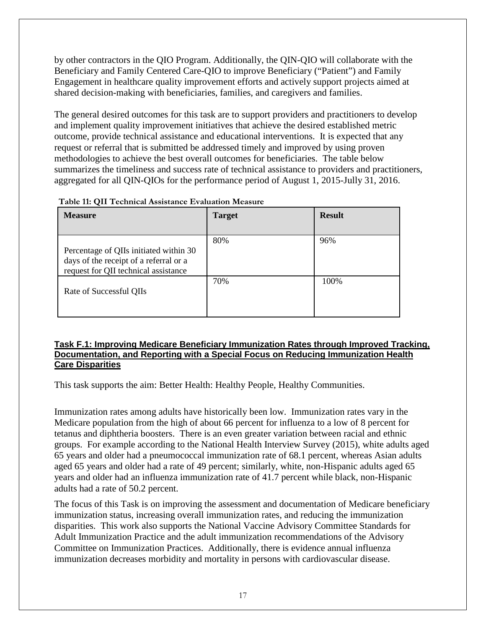by other contractors in the QIO Program. Additionally, the QIN-QIO will collaborate with the Beneficiary and Family Centered Care-QIO to improve Beneficiary ("Patient") and Family Engagement in healthcare quality improvement efforts and actively support projects aimed at shared decision-making with beneficiaries, families, and caregivers and families.

The general desired outcomes for this task are to support providers and practitioners to develop and implement quality improvement initiatives that achieve the desired established metric outcome, provide technical assistance and educational interventions. It is expected that any request or referral that is submitted be addressed timely and improved by using proven methodologies to achieve the best overall outcomes for beneficiaries. The table below summarizes the timeliness and success rate of technical assistance to providers and practitioners, aggregated for all QIN-QIOs for the performance period of August 1, 2015-Jully 31, 2016.

| <b>Measure</b>                                                                                                           | <b>Target</b> | <b>Result</b> |
|--------------------------------------------------------------------------------------------------------------------------|---------------|---------------|
| Percentage of QIIs initiated within 30<br>days of the receipt of a referral or a<br>request for QII technical assistance | 80%           | 96%           |
| Rate of Successful QIIs                                                                                                  | 70%           | 100%          |

 **Table 11: QII Technical Assistance Evaluation Measure**

#### **Task F.1: Improving Medicare Beneficiary Immunization Rates through Improved Tracking, Documentation, and Reporting with a Special Focus on Reducing Immunization Health Care Disparities**

This task supports the aim: Better Health: Healthy People, Healthy Communities.

Immunization rates among adults have historically been low. Immunization rates vary in the Medicare population from the high of about 66 percent for influenza to a low of 8 percent for tetanus and diphtheria boosters. There is an even greater variation between racial and ethnic groups. For example according to the National Health Interview Survey (2015), white adults aged 65 years and older had a pneumococcal immunization rate of 68.1 percent, whereas Asian adults aged 65 years and older had a rate of 49 percent; similarly, white, non-Hispanic adults aged 65 years and older had an influenza immunization rate of 41.7 percent while black, non-Hispanic adults had a rate of 50.2 percent.

The focus of this Task is on improving the assessment and documentation of Medicare beneficiary immunization status, increasing overall immunization rates, and reducing the immunization disparities. This work also supports the National Vaccine Advisory Committee Standards for Adult Immunization Practice and the adult immunization recommendations of the Advisory Committee on Immunization Practices. Additionally, there is evidence annual influenza immunization decreases morbidity and mortality in persons with cardiovascular disease.